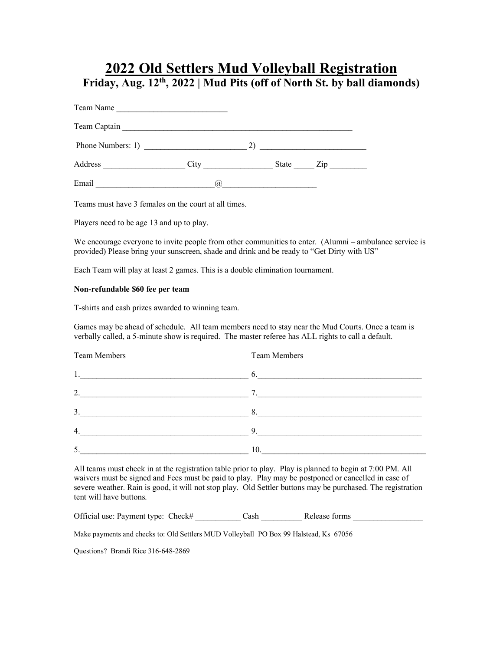## **2022 Old Settlers Mud Volleyball Registration Friday, Aug. 12th, 2022 | Mud Pits (off of North St. by ball diamonds)**

Team Name

| Team Captain      |      |              |          |  |
|-------------------|------|--------------|----------|--|
| Phone Numbers: 1) |      |              |          |  |
| Address           | City | <b>State</b> | $Z_{1D}$ |  |
| Email             | (a)  |              |          |  |

Teams must have 3 females on the court at all times.

Players need to be age 13 and up to play.

We encourage everyone to invite people from other communities to enter. (Alumni – ambulance service is provided) Please bring your sunscreen, shade and drink and be ready to "Get Dirty with US"

Each Team will play at least 2 games. This is a double elimination tournament.

#### **Non-refundable \$60 fee per team**

T-shirts and cash prizes awarded to winning team.

Games may be ahead of schedule. All team members need to stay near the Mud Courts. Once a team is verbally called, a 5-minute show is required. The master referee has ALL rights to call a default.

| <b>Team Members</b>                                                                                                 | <b>Team Members</b> |
|---------------------------------------------------------------------------------------------------------------------|---------------------|
| <u> 1980 - Johann Barn, mars ann an t-Amhain an t-Amhain an t-Amhain an t-Amhain an t-Amhain an t-Amhain an t-A</u> | 6.                  |
| 2.<br><u> 1980 - Johann Stein, mars an de Brasilian (b. 1980)</u>                                                   |                     |
| 3.<br>$\sim$ 8.                                                                                                     |                     |
| 4.                                                                                                                  | 9.                  |
| 5                                                                                                                   | 10.                 |

All teams must check in at the registration table prior to play. Play is planned to begin at 7:00 PM. All waivers must be signed and Fees must be paid to play. Play may be postponed or cancelled in case of severe weather. Rain is good, it will not stop play. Old Settler buttons may be purchased. The registration tent will have buttons.

Official use: Payment type: Check# Cash Release forms

Make payments and checks to: Old Settlers MUD Volleyball PO Box 99 Halstead, Ks 67056

Questions? Brandi Rice 316-648-2869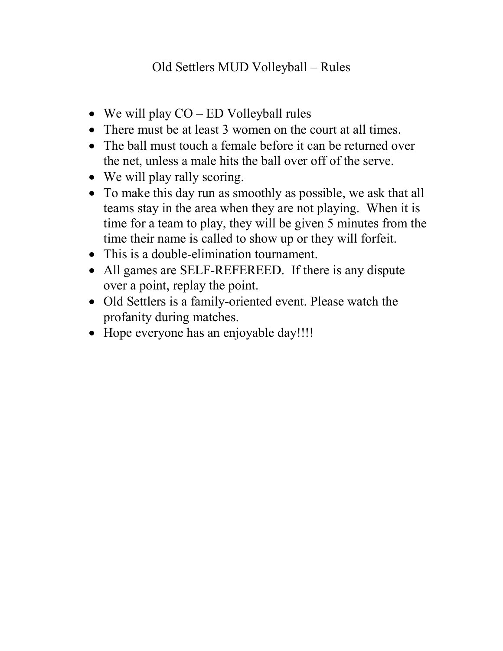# Old Settlers MUD Volleyball – Rules

- We will play  $CO$  ED Volleyball rules
- There must be at least 3 women on the court at all times.
- The ball must touch a female before it can be returned over the net, unless a male hits the ball over off of the serve.
- We will play rally scoring.
- To make this day run as smoothly as possible, we ask that all teams stay in the area when they are not playing. When it is time for a team to play, they will be given 5 minutes from the time their name is called to show up or they will forfeit.
- This is a double-elimination tournament.
- All games are SELF-REFEREED. If there is any dispute over a point, replay the point.
- Old Settlers is a family-oriented event. Please watch the profanity during matches.
- Hope everyone has an enjoyable day!!!!